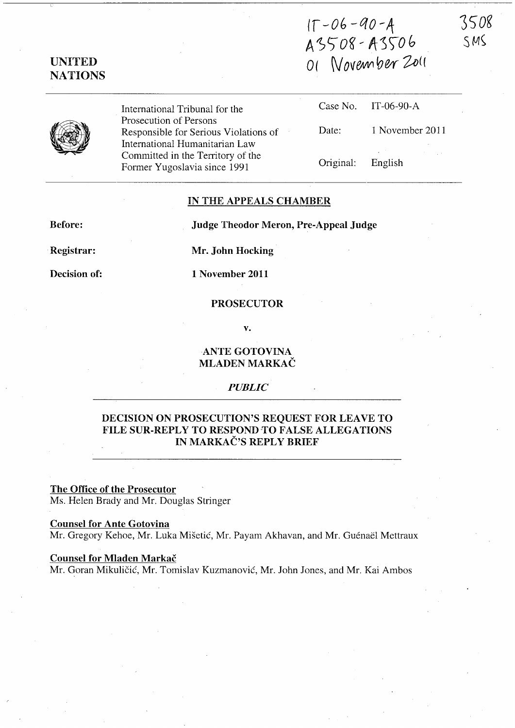(f *-Ob* -QO-4 A3508-A3506 O(  $Wovem$ ber  $Zo($ 

3508  $SMS$ 



UNITED NATIONS

> International Tribunal for the Prosecution of Persons Responsible for Serious Violations of International Humanitarian Law Committed in the Territory of the Former Yugoslavia since 1991

|                   | Case No. IT-06-90-A |
|-------------------|---------------------|
| Date:             | 1 November 2011     |
| Original: English |                     |

### IN THE APPEALS CHAMBER

Before:

Judge Theodor Meron, Pre-Appeal Judge

Registrar:

Decision of:

Mr. John Hocking

1 November 2011

## PROSECUTOR

v.

## ANTE GOTOVINA MLADEN MARKAC

### *PUBLIC*

# DECISION ON PROSECUTION'S REQUEST FOR LEAVE TO FILE SUR-REPLY TO RESPOND TO FALSE ALLEGATIONS IN MARKAČ'S REPLY BRIEF

# The Office of the Prosecutor

Ms. Helen Brady and Mr. Douglas Stringer

### Counsel for Ante Gotovina

Mr. Gregory Kehoe, Mr. Luka Mišetić, Mr. Payam Akhavan, and Mr. Guénaël Mettraux

#### Counsel for Mladen Markac

Mr. Goran Mikulicic, Mr. Tomislav Kuzmanovic, Mr. John Jones, and Mr. Kai Ambos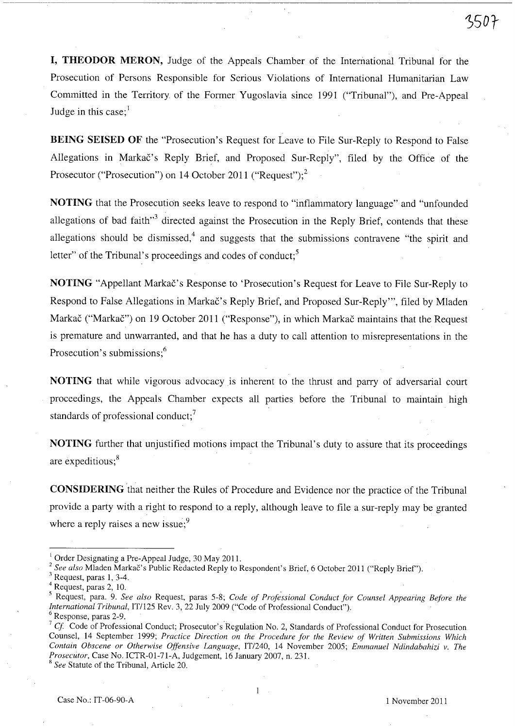I, THEODOR MERON, Judge of the Appeals Chamber of the International Tribunal for the Prosecution of Persons Responsible for Serious Violations of International Humanitarian Law Committed in the Territory of the Former Yugoslavia since 1991 ("Tribunal"), and Pre-Appeal Judge in this case; $<sup>1</sup>$ </sup>

BEING SEISED OF the "Prosecution's Request for Leave to File Sur-Reply to Respond to False Allegations in Markac's Reply Brief, and Proposed Sur-Reply", filed by the Office of the Prosecutor ("Prosecution") on 14 October 2011 ("Request"); $^2$ 

NOTING that the Prosecution seeks leave to respond to "inflammatory language" and "unfounded allegations of bad faith<sup> $,3$ </sup> directed against the Prosecution in the Reply Brief, contends that these allegations should be dismissed, $4$  and suggests that the submissions contravene "the spirit and letter" of the Tribunal's proceedings and codes of conduct;<sup>5</sup>

NOTING "Appellant Markač's Response to 'Prosecution's Request for Leave to File Sur-Reply to Respond to False Allegations in Markač's Reply Brief, and Proposed Sur-Reply"', filed by Mladen Markač ("Markač") on 19 October 2011 ("Response"), in which Markač maintains that the Request is premature and unwarranted, and that he has a duty to call attention to misrepresentations in the Prosecution's submissions;<sup>6</sup>

NOTING that while vigorous advocacy is inherent to the thrust and parry of adversarial court proceedings, the Appeals Chamber expects all parties before the Tribunal to maintain high standards of professional conduct; $<sup>7</sup>$ </sup>

NOTING further that unjustified motions impact the Tribunal's duty to assure that its proceedings are expeditious;<sup>8</sup>

CONSIDERING 'that neither the Rules of Procedure and Evidence nor the practice of the Tribunal provide a party with a right to respond to a reply, although leave to file a sur-reply may be granted where a reply raises a new issue; $9$ 

<sup>2</sup> See also Mladen Markac's Public Redacted Reply to Respondent's Brief, 6 October 2011 ("Reply Brief").

1

<sup>I</sup>Order Designating a Pre-Appeal Judge, 30 May 201l.

Request, paras 1, 3-4.

<sup>4</sup> Request, paras 2, 10.

<sup>&</sup>lt;sup>5</sup> Request, para. 9. See also Request, paras 5-8; Code of Professional Conduct for Counsel Appearing Before the *International Tribunal, IT/125 Rev. 3, 22 July 2009* ("Code of Professional Conduct").<br><sup>6</sup> Response, paras 2-9.

<sup>&</sup>lt;sup>7</sup> Cf. Code of Professional Conduct; Prosecutor's Regulation No. 2, Standards of Professional Conduct for Prosecution Counsel, 14 September 1999; Practice Direction on the Procedure for the Review of Written Submissions Which *Contain Obscene or Otherwise Offensive Language,* IT1240, 14 November 2005; *Emmanuel Ndindabahizi v. The Prosecutor,* Case No. ICTR-Ol-71-A, Judgement, 16 January 2007, n. 231.

<sup>&</sup>lt;sup>8</sup> See Statute of the Tribunal, Article 20.